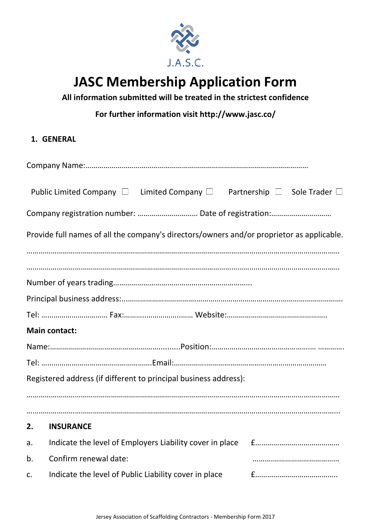

# **JASC Membership Application Form**

**All information submitted will be treated in the strictest confidence**

**For further information visit http://www.jasc.co/**

## **1. GENERAL**

|    | Public Limited Company $\Box$ Limited Company $\Box$ Partnership $\Box$ Sole Trader $\Box$ |  |
|----|--------------------------------------------------------------------------------------------|--|
|    | Company registration number:  Date of registration:                                        |  |
|    | Provide full names of all the company's directors/owners and/or proprietor as applicable.  |  |
|    |                                                                                            |  |
|    |                                                                                            |  |
|    |                                                                                            |  |
|    |                                                                                            |  |
|    | <b>Main contact:</b>                                                                       |  |
|    |                                                                                            |  |
|    |                                                                                            |  |
|    | Registered address (if different to principal business address):                           |  |
|    |                                                                                            |  |
|    | 2. INSURANCE                                                                               |  |
| a. | Indicate the level of Employers Liability cover in place                                   |  |
| b. | Confirm renewal date:                                                                      |  |
| c. | Indicate the level of Public Liability cover in place                                      |  |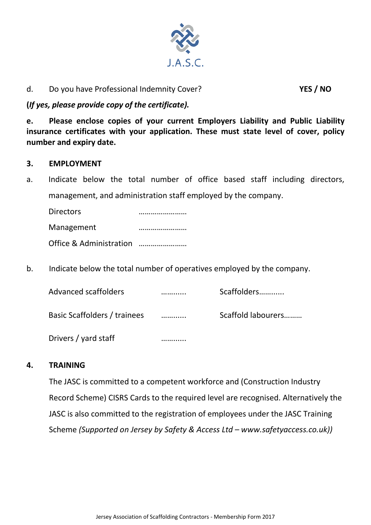

## d. Do you have Professional Indemnity Cover? **YES / NO**

## **(***If yes, please provide copy of the certificate).*

**e. Please enclose copies of your current Employers Liability and Public Liability insurance certificates with your application. These must state level of cover, policy number and expiry date.**

#### **3. EMPLOYMENT**

a. Indicate below the total number of office based staff including directors, management, and administration staff employed by the company.

Directors …………………… Management …………………… Office & Administration ……………………

b. Indicate below the total number of operatives employed by the company.

| Advanced scaffolders         | Scaffolders        |
|------------------------------|--------------------|
| Basic Scaffolders / trainees | Scaffold labourers |
| Drivers / yard staff         |                    |

#### **4. TRAINING**

The JASC is committed to a competent workforce and (Construction Industry Record Scheme) CISRS Cards to the required level are recognised. Alternatively the JASC is also committed to the registration of employees under the JASC Training Scheme *(Supported on Jersey by Safety & Access Ltd – www.safetyaccess.co.uk))*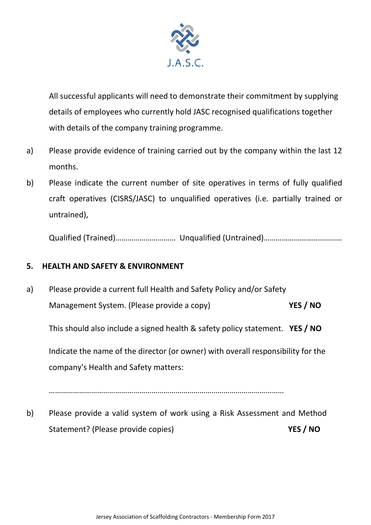

All successful applicants will need to demonstrate their commitment by supplying details of employees who currently hold JASC recognised qualifications together with details of the company training programme.

- a) Please provide evidence of training carried out by the company within the last 12 months.
- b) Please indicate the current number of site operatives in terms of fully qualified craft operatives (CISRS/JASC) to unqualified operatives (i.e. partially trained or untrained),

Qualified (Trained)………………………… Unqualified (Untrained)…………………………………

## **5. HEALTH AND SAFETY & ENVIRONMENT**

a) Please provide a current full Health and Safety Policy and/or Safety Management System. (Please provide a copy) **YES / NO**

This should also include a signed health & safety policy statement. **YES / NO**

Indicate the name of the director (or owner) with overall responsibility for the company's Health and Safety matters:

………………………………………………………………………………………………………

b) Please provide a valid system of work using a Risk Assessment and Method Statement? (Please provide copies) **YES / NO**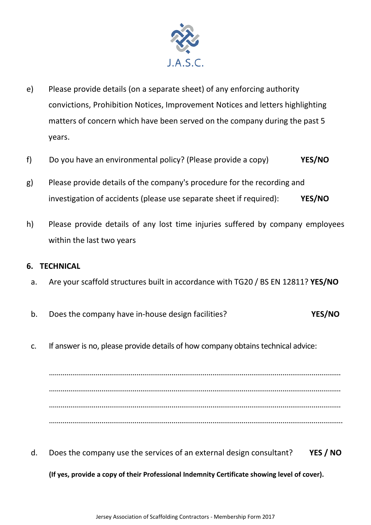

- e) Please provide details (on a separate sheet) of any enforcing authority convictions, Prohibition Notices, Improvement Notices and letters highlighting matters of concern which have been served on the company during the past 5 years.
- f) Do you have an environmental policy? (Please provide a copy) **YES/NO**
- g) Please provide details of the company's procedure for the recording and investigation of accidents (please use separate sheet if required): **YES/NO**
- h) Please provide details of any lost time injuries suffered by company employees within the last two years

#### **6. TECHNICAL**

- a. Are your scaffold structures built in accordance with TG20 / BS EN 12811? **YES/NO**
- b. Does the company have in-house design facilities? **YES/NO**
- c. If answer is no, please provide details of how company obtains technical advice:

…………………………………………………………………………………………………………………………………… …………………………………………………………………………………………………………………………………… …………………………………………………………………………………………………………………………………… …………………………………………………………………………………………………………………………………….

d. Does the company use the services of an external design consultant? **YES / NO**

**(If yes, provide a copy of their Professional Indemnity Certificate showing level of cover).**